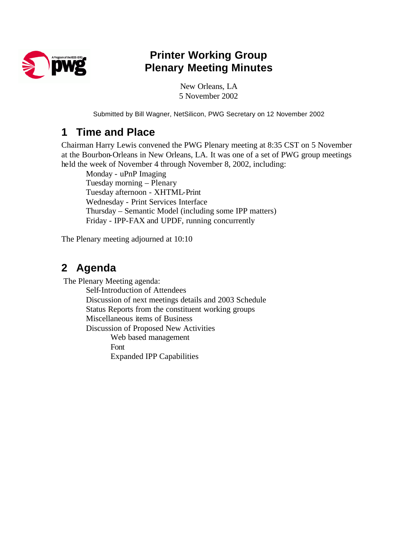

## **Printer Working Group Plenary Meeting Minutes**

New Orleans, LA 5 November 2002

Submitted by Bill Wagner, NetSilicon, PWG Secretary on 12 November 2002

### **1 Time and Place**

Chairman Harry Lewis convened the PWG Plenary meeting at 8:35 CST on 5 November at the Bourbon-Orleans in New Orleans, LA. It was one of a set of PWG group meetings held the week of November 4 through November 8, 2002, including:

Monday - uPnP Imaging Tuesday morning – Plenary Tuesday afternoon - XHTML-Print Wednesday - Print Services Interface Thursday – Semantic Model (including some IPP matters) Friday - IPP-FAX and UPDF, running concurrently

The Plenary meeting adjourned at 10:10

## **2 Agenda**

The Plenary Meeting agenda:

Self-Introduction of Attendees Discussion of next meetings details and 2003 Schedule Status Reports from the constituent working groups Miscellaneous items of Business Discussion of Proposed New Activities Web based management Font Expanded IPP Capabilities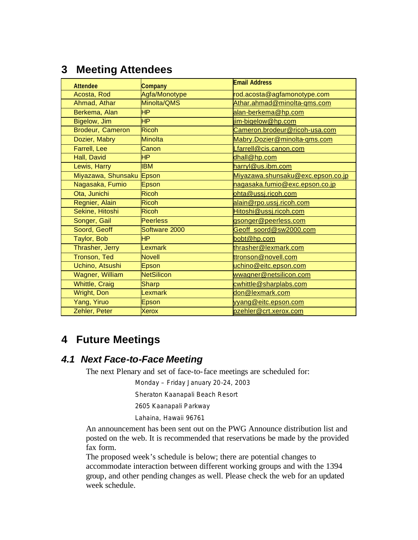### **3 Meeting Attendees**

| <b>Attendee</b>          | Company           | <b>Email Address</b>              |
|--------------------------|-------------------|-----------------------------------|
| Acosta, Rod              | Agfa/Monotype     | rod.acosta@agfamonotype.com       |
| Ahmad, Athar             | Minolta/QMS       | Athar.ahmad@minolta-qms.com       |
| Berkema, Alan            | <b>HP</b>         | alan-berkema@hp.com               |
| Bigelow, Jim             | <b>HP</b>         | jim-bigelow@hp.com                |
| Brodeur, Cameron         | Ricoh             | Cameron.brodeur@ricoh-usa.com     |
| Dozier, Mabry            | Minolta           | Mabry.Dozier@minolta-qms.com      |
| Farrell, Lee             | Canon             | Lfarrell@cis.canon.com            |
| Hall, David              | HP.               | dhall@hp.com                      |
| Lewis, Harry             | <b>IBM</b>        | harryl@us.ibm.com                 |
| Miyazawa, Shunsaku Epson |                   | Miyazawa.shunsaku@exc.epson.co.jp |
| Nagasaka, Fumio          | Epson             | nagasaka.fumio@exc.epson.co.jp    |
| Ota, Junichi             | <b>Ricoh</b>      | ohta@ussj.ricoh.com               |
| Regnier, Alain           | <b>Ricoh</b>      | alain@rpo.ussj.ricoh.com          |
| Sekine, Hitoshi          | <b>Ricoh</b>      | Hitoshi@ussj.ricoh.com            |
| Songer, Gail             | Peerless          | gsonger@peerless.com              |
| Soord, Geoff             | Software 2000     | Geoff soord@sw2000.com            |
| Taylor, Bob              | <b>HP</b>         | bobt@hp.com                       |
| Thrasher, Jerry          | <b>Lexmark</b>    | thrasher@lexmark.com              |
| Tronson, Ted             | <b>Novell</b>     | ttronson@novell.com               |
| Uchino, Atsushi          | Epson             | uchino@eitc.epson.com             |
| Wagner, William          | <b>NetSilicon</b> | wwagner@netsilicon.com            |
| <b>Whittle, Craig</b>    | Sharp             | cwhittle@sharplabs.com            |
| Wright, Don              | Lexmark           | don@lexmark.com                   |
| Yang, Yiruo              | Epson             | yyang@eitc.epson.com              |
| Zehler, Peter            | <b>Xerox</b>      | pzehler@crt.xerox.com             |

### **4 Future Meetings**

#### *4.1 Next Face-to-Face Meeting*

The next Plenary and set of face-to-face meetings are scheduled for:

Monday – Friday January 20-24, 2003

Sheraton Kaanapali Beach Resort

2605 Kaanapali Parkway

Lahaina, Hawaii 96761

An announcement has been sent out on the PWG Announce distribution list and posted on the web. It is recommended that reservations be made by the provided fax form.

The proposed week's schedule is below; there are potential changes to accommodate interaction between different working groups and with the 1394 group, and other pending changes as well. Please check the web for an updated week schedule.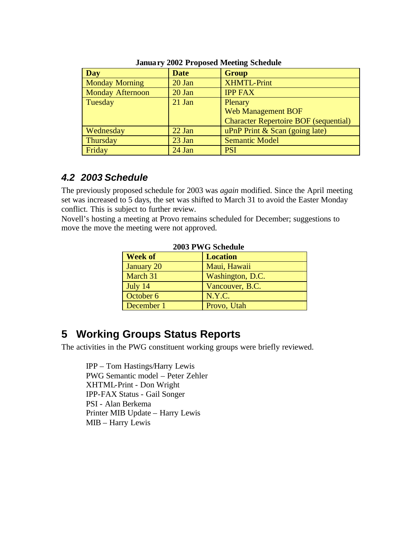| Day                     | <b>Date</b> | <b>Group</b>                                 |
|-------------------------|-------------|----------------------------------------------|
| <b>Monday Morning</b>   | 20 Jan      | <b>XHMTL-Print</b>                           |
| <b>Monday Afternoon</b> | 20 Jan      | <b>IPP FAX</b>                               |
| Tuesday                 | $21$ Jan    | Plenary                                      |
|                         |             | <b>Web Management BOF</b>                    |
|                         |             | <b>Character Repertoire BOF (sequential)</b> |
| Wednesday               | $22$ Jan    | uPnP Print $&$ Scan (going late)             |
| Thursday                | 23 Jan      | <b>Semantic Model</b>                        |
| Friday                  | 24 Jan      | <b>PSI</b>                                   |

#### **January 2002 Proposed Meeting Schedule**

#### *4.2 2003 Schedule*

The previously proposed schedule for 2003 was *again* modified. Since the April meeting set was increased to 5 days, the set was shifted to March 31 to avoid the Easter Monday conflict. This is subject to further review.

Novell's hosting a meeting at Provo remains scheduled for December; suggestions to move the move the meeting were not approved.

| 2003 PWG Schedule |                  |  |  |
|-------------------|------------------|--|--|
| <b>Week of</b>    | <b>Location</b>  |  |  |
| <b>January 20</b> | Maui, Hawaii     |  |  |
| March 31          | Washington, D.C. |  |  |
| July 14           | Vancouver, B.C.  |  |  |
| October 6         | N.Y.C.           |  |  |
| December 1        | Provo, Utah      |  |  |

#### **2003 PWG Schedule**

### **5 Working Groups Status Reports**

The activities in the PWG constituent working groups were briefly reviewed.

IPP – Tom Hastings/Harry Lewis PWG Semantic model – Peter Zehler XHTML-Print - Don Wright IPP-FAX Status - Gail Songer PSI - Alan Berkema Printer MIB Update – Harry Lewis MIB – Harry Lewis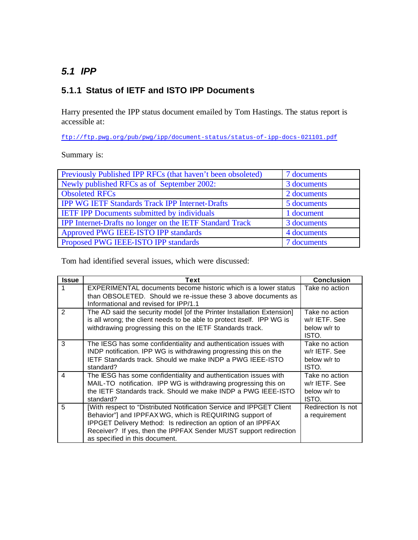#### *5.1 IPP*

#### **5.1.1 Status of IETF and ISTO IPP Documents**

Harry presented the IPP status document emailed by Tom Hastings. The status report is accessible at:

ftp://ftp.pwg.org/pub/pwg/ipp/document-status/status-of-ipp-docs-021101.pdf

Summary is:

| Previously Published IPP RFCs (that haven't been obsoleted) | 7 documents |
|-------------------------------------------------------------|-------------|
| Newly published RFCs as of September 2002:                  | 3 documents |
| <b>Obsoleted RFCs</b>                                       | 2 documents |
| <b>IPP WG IETF Standards Track IPP Internet-Drafts</b>      | 5 documents |
| <b>IETF IPP Documents submitted by individuals</b>          | 1 document  |
| IPP Internet-Drafts no longer on the IETF Standard Track    | 3 documents |
| Approved PWG IEEE-ISTO IPP standards                        | 4 documents |
| Proposed PWG IEEE-ISTO IPP standards                        | 7 documents |

Tom had identified several issues, which were discussed:

| <b>Issue</b>   | Text                                                                   | <b>Conclusion</b>  |
|----------------|------------------------------------------------------------------------|--------------------|
|                | <b>EXPERIMENTAL</b> documents become historic which is a lower status  | Take no action     |
|                | than OBSOLETED. Should we re-issue these 3 above documents as          |                    |
|                | Informational and revised for IPP/1.1                                  |                    |
| 2              | The AD said the security model [of the Printer Installation Extension] | Take no action     |
|                | is all wrong; the client needs to be able to protect itself. IPP WG is | w/r IETF, See      |
|                | withdrawing progressing this on the IETF Standards track.              | below w/r to       |
|                |                                                                        | ISTO.              |
| 3              | The IESG has some confidentiality and authentication issues with       | Take no action     |
|                | INDP notification. IPP WG is withdrawing progressing this on the       | w/r IETF, See      |
|                | IETF Standards track. Should we make INDP a PWG IEEE-ISTO              | below w/r to       |
|                | standard?                                                              | ISTO.              |
| $\overline{4}$ | The IESG has some confidentiality and authentication issues with       | Take no action     |
|                | MAIL-TO notification. IPP WG is withdrawing progressing this on        | w/r IETF, See      |
|                | the IETF Standards track. Should we make INDP a PWG IEEE-ISTO          | below w/r to       |
|                | standard?                                                              | ISTO.              |
| 5              | [With respect to "Distributed Notification Service and IPPGET Client   | Redirection Is not |
|                | Behavior"] and IPPFAX WG, which is REQUIRING support of                | a requirement      |
|                | <b>IPPGET Delivery Method: Is redirection an option of an IPPFAX</b>   |                    |
|                | Receiver? If yes, then the IPPFAX Sender MUST support redirection      |                    |
|                | as specified in this document.                                         |                    |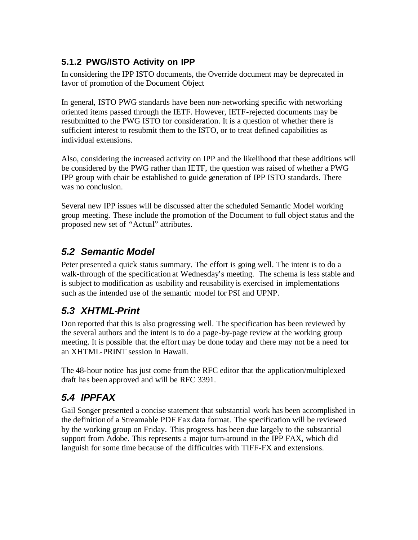#### **5.1.2 PWG/ISTO Activity on IPP**

In considering the IPP ISTO documents, the Override document may be deprecated in favor of promotion of the Document Object

In general, ISTO PWG standards have been non-networking specific with networking oriented items passed through the IETF. However, IETF-rejected documents may be resubmitted to the PWG ISTO for consideration. It is a question of whether there is sufficient interest to resubmit them to the ISTO, or to treat defined capabilities as individual extensions.

Also, considering the increased activity on IPP and the likelihood that these additions will be considered by the PWG rather than IETF, the question was raised of whether a PWG IPP group with chair be established to guide generation of IPP ISTO standards. There was no conclusion.

Several new IPP issues will be discussed after the scheduled Semantic Model working group meeting. These include the promotion of the Document to full object status and the proposed new set of "Actual" attributes.

#### *5.2 Semantic Model*

Peter presented a quick status summary. The effort is going well. The intent is to do a walk-through of the specification at Wednesday's meeting. The schema is less stable and is subject to modification as usability and reusability is exercised in implementations such as the intended use of the semantic model for PSI and UPNP.

### *5.3 XHTML-Print*

Don reported that this is also progressing well. The specification has been reviewed by the several authors and the intent is to do a page-by-page review at the working group meeting. It is possible that the effort may be done today and there may not be a need for an XHTML-PRINT session in Hawaii.

The 48-hour notice has just come from the RFC editor that the application/multiplexed draft has been approved and will be RFC 3391.

### *5.4 IPPFAX*

Gail Songer presented a concise statement that substantial work has been accomplished in the definition of a Streamable PDF Fax data format. The specification will be reviewed by the working group on Friday. This progress has been due largely to the substantial support from Adobe. This represents a major turn-around in the IPP FAX, which did languish for some time because of the difficulties with TIFF-FX and extensions.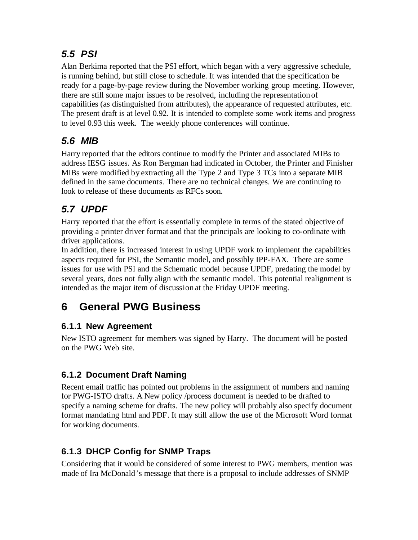### *5.5 PSI*

Alan Berkima reported that the PSI effort, which began with a very aggressive schedule, is running behind, but still close to schedule. It was intended that the specification be ready for a page-by-page review during the November working group meeting. However, there are still some major issues to be resolved, including the representation of capabilities (as distinguished from attributes), the appearance of requested attributes, etc. The present draft is at level 0.92. It is intended to complete some work items and progress to level 0.93 this week. The weekly phone conferences will continue.

### *5.6 MIB*

Harry reported that the editors continue to modify the Printer and associated MIBs to address IESG issues. As Ron Bergman had indicated in October, the Printer and Finisher MIBs were modified by extracting all the Type 2 and Type 3 TCs into a separate MIB defined in the same documents. There are no technical changes. We are continuing to look to release of these documents as RFCs soon.

## *5.7 UPDF*

Harry reported that the effort is essentially complete in terms of the stated objective of providing a printer driver format and that the principals are looking to co-ordinate with driver applications.

In addition, there is increased interest in using UPDF work to implement the capabilities aspects required for PSI, the Semantic model, and possibly IPP-FAX. There are some issues for use with PSI and the Schematic model because UPDF, predating the model by several years, does not fully align with the semantic model. This potential realignment is intended as the major item of discussion at the Friday UPDF meeting.

# **6 General PWG Business**

#### **6.1.1 New Agreement**

New ISTO agreement for members was signed by Harry. The document will be posted on the PWG Web site.

#### **6.1.2 Document Draft Naming**

Recent email traffic has pointed out problems in the assignment of numbers and naming for PWG-ISTO drafts. A New policy /process document is needed to be drafted to specify a naming scheme for drafts. The new policy will probably also specify document format mandating html and PDF. It may still allow the use of the Microsoft Word format for working documents.

#### **6.1.3 DHCP Config for SNMP Traps**

Considering that it would be considered of some interest to PWG members, mention was made of Ira McDonald's message that there is a proposal to include addresses of SNMP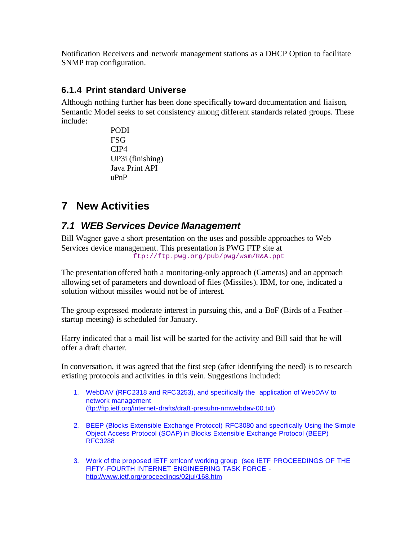Notification Receivers and network management stations as a DHCP Option to facilitate SNMP trap configuration.

#### **6.1.4 Print standard Universe**

Although nothing further has been done specifically toward documentation and liaison, Semantic Model seeks to set consistency among different standards related groups. These include:

> PODI **FSG** CIP4 UP3i (finishing) Java Print API uPnP

### **7 New Activities**

#### *7.1 WEB Services Device Management*

Bill Wagner gave a short presentation on the uses and possible approaches to Web Services device management. This presentation is PWG FTP site at ftp://ftp.pwg.org/pub/pwg/wsm/R&A.ppt

The presentation offered both a monitoring-only approach (Cameras) and an approach allowing set of parameters and download of files (Missiles). IBM, for one, indicated a solution without missiles would not be of interest.

The group expressed moderate interest in pursuing this, and a BoF (Birds of a Feather – startup meeting) is scheduled for January.

Harry indicated that a mail list will be started for the activity and Bill said that he will offer a draft charter.

In conversation, it was agreed that the first step (after identifying the need) is to research existing protocols and activities in this vein. Suggestions included:

- 1. WebDAV (RFC2318 and RFC3253), and specifically the application of WebDAV to network management (ftp://ftp.ietf.org/internet-drafts/draft-presuhn-nmwebdav-00.txt)
- 2. BEEP (Blocks Extensible Exchange Protocol) RFC3080 and specifically Using the Simple Object Access Protocol (SOAP) in Blocks Extensible Exchange Protocol (BEEP) RFC3288
- 3. Work of the proposed IETF xmlconf working group (see IETF PROCEEDINGS OF THE FIFTY-FOURTH INTERNET ENGINEERING TASK FORCE http://www.ietf.org/proceedings/02jul/168.htm